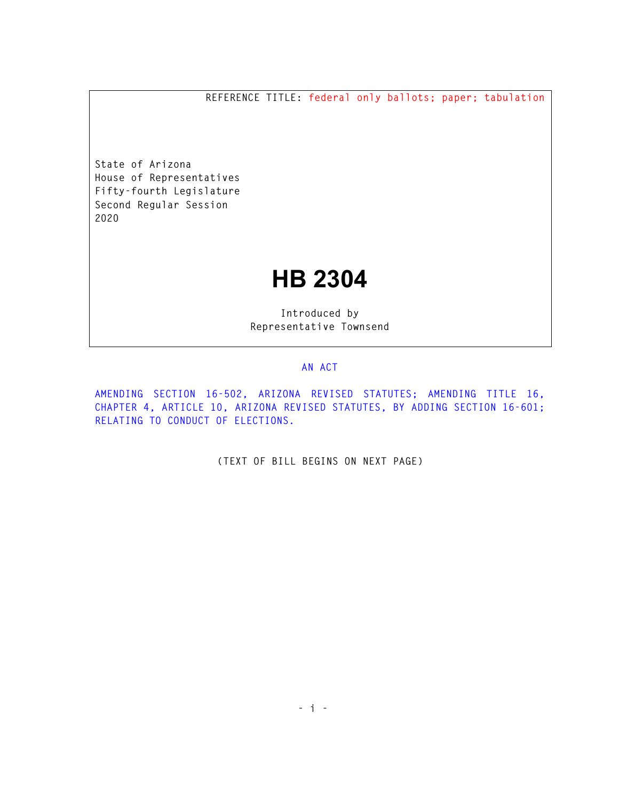**REFERENCE TITLE: federal only ballots; paper; tabulation** 

**State of Arizona House of Representatives Fifty-fourth Legislature Second Regular Session 2020** 

## **HB 2304**

**Introduced by Representative Townsend** 

## **AN ACT**

**AMENDING SECTION 16-502, ARIZONA REVISED STATUTES; AMENDING TITLE 16, CHAPTER 4, ARTICLE 10, ARIZONA REVISED STATUTES, BY ADDING SECTION 16-601; RELATING TO CONDUCT OF ELECTIONS.** 

**(TEXT OF BILL BEGINS ON NEXT PAGE)**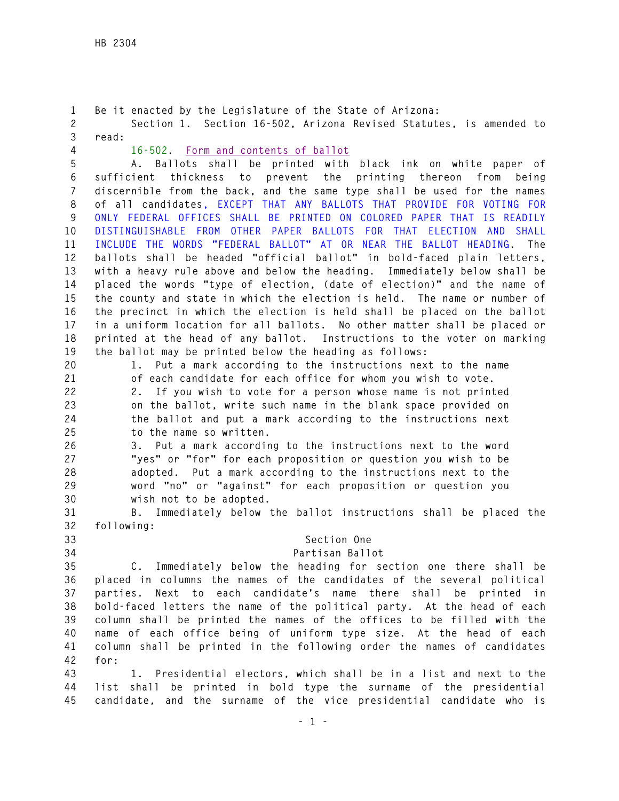**1 Be it enacted by the Legislature of the State of Arizona: 2 Section 1. Section 16-502, Arizona Revised Statutes, is amended to 3 read: 4 16-502. Form and contents of ballot 5 A. Ballots shall be printed with black ink on white paper of 6 sufficient thickness to prevent the printing thereon from being 7 discernible from the back, and the same type shall be used for the names 8 of all candidates, EXCEPT THAT ANY BALLOTS THAT PROVIDE FOR VOTING FOR 9 ONLY FEDERAL OFFICES SHALL BE PRINTED ON COLORED PAPER THAT IS READILY 10 DISTINGUISHABLE FROM OTHER PAPER BALLOTS FOR THAT ELECTION AND SHALL 11 INCLUDE THE WORDS "FEDERAL BALLOT" AT OR NEAR THE BALLOT HEADING. The 12 ballots shall be headed "official ballot" in bold-faced plain letters, 13 with a heavy rule above and below the heading. Immediately below shall be 14 placed the words "type of election, (date of election)" and the name of 15 the county and state in which the election is held. The name or number of 16 the precinct in which the election is held shall be placed on the ballot 17 in a uniform location for all ballots. No other matter shall be placed or 18 printed at the head of any ballot. Instructions to the voter on marking 19 the ballot may be printed below the heading as follows: 20 1. Put a mark according to the instructions next to the name 21 of each candidate for each office for whom you wish to vote. 22 2. If you wish to vote for a person whose name is not printed 23 on the ballot, write such name in the blank space provided on 24 the ballot and put a mark according to the instructions next 25 to the name so written. 26 3. Put a mark according to the instructions next to the word 27 "yes" or "for" for each proposition or question you wish to be 28 adopted. Put a mark according to the instructions next to the 29 word "no" or "against" for each proposition or question you 30 wish not to be adopted. 31 B. Immediately below the ballot instructions shall be placed the 32 following: 33 Section One 34 Partisan Ballot 35 C. Immediately below the heading for section one there shall be 36 placed in columns the names of the candidates of the several political 37 parties. Next to each candidate's name there shall be printed in 38 bold-faced letters the name of the political party. At the head of each 39 column shall be printed the names of the offices to be filled with the 40 name of each office being of uniform type size. At the head of each 41 column shall be printed in the following order the names of candidates 42 for: 43 1. Presidential electors, which shall be in a list and next to the 44 list shall be printed in bold type the surname of the presidential 45 candidate, and the surname of the vice presidential candidate who is**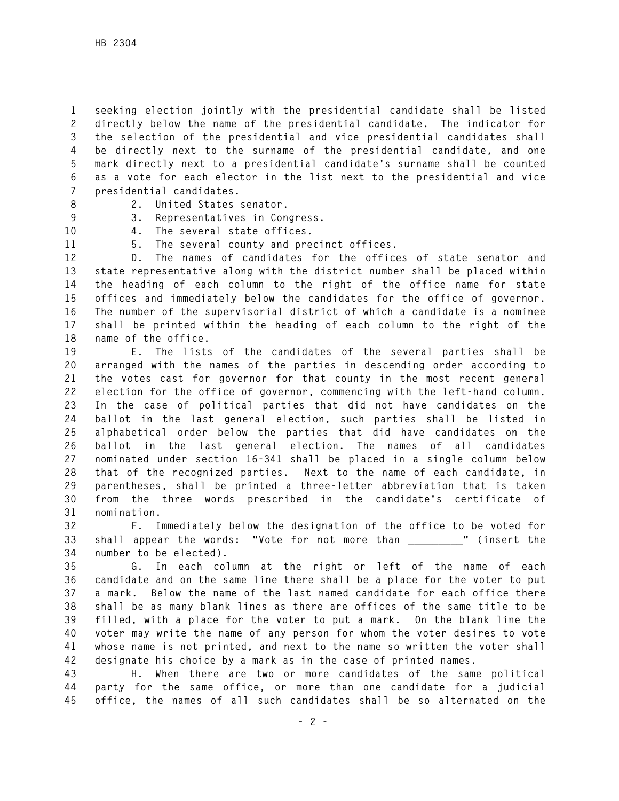**1 seeking election jointly with the presidential candidate shall be listed 2 directly below the name of the presidential candidate. The indicator for 3 the selection of the presidential and vice presidential candidates shall 4 be directly next to the surname of the presidential candidate, and one 5 mark directly next to a presidential candidate's surname shall be counted 6 as a vote for each elector in the list next to the presidential and vice 7 presidential candidates.** 

- 
- **8 2. United States senator.**
- 
- **9 3. Representatives in Congress.**
- **10 4. The several state offices.**
- **11 5. The several county and precinct offices.**

**12 D. The names of candidates for the offices of state senator and 13 state representative along with the district number shall be placed within 14 the heading of each column to the right of the office name for state 15 offices and immediately below the candidates for the office of governor. 16 The number of the supervisorial district of which a candidate is a nominee 17 shall be printed within the heading of each column to the right of the 18 name of the office.** 

**19 E. The lists of the candidates of the several parties shall be 20 arranged with the names of the parties in descending order according to 21 the votes cast for governor for that county in the most recent general 22 election for the office of governor, commencing with the left-hand column. 23 In the case of political parties that did not have candidates on the 24 ballot in the last general election, such parties shall be listed in 25 alphabetical order below the parties that did have candidates on the 26 ballot in the last general election. The names of all candidates 27 nominated under section 16-341 shall be placed in a single column below 28 that of the recognized parties. Next to the name of each candidate, in 29 parentheses, shall be printed a three-letter abbreviation that is taken 30 from the three words prescribed in the candidate's certificate of 31 nomination.** 

**32 F. Immediately below the designation of the office to be voted for 33 shall appear the words: "Vote for not more than \_\_\_\_\_\_\_\_\_" (insert the 34 number to be elected).** 

**35 G. In each column at the right or left of the name of each 36 candidate and on the same line there shall be a place for the voter to put 37 a mark. Below the name of the last named candidate for each office there 38 shall be as many blank lines as there are offices of the same title to be 39 filled, with a place for the voter to put a mark. On the blank line the 40 voter may write the name of any person for whom the voter desires to vote 41 whose name is not printed, and next to the name so written the voter shall 42 designate his choice by a mark as in the case of printed names.** 

**43 H. When there are two or more candidates of the same political 44 party for the same office, or more than one candidate for a judicial 45 office, the names of all such candidates shall be so alternated on the**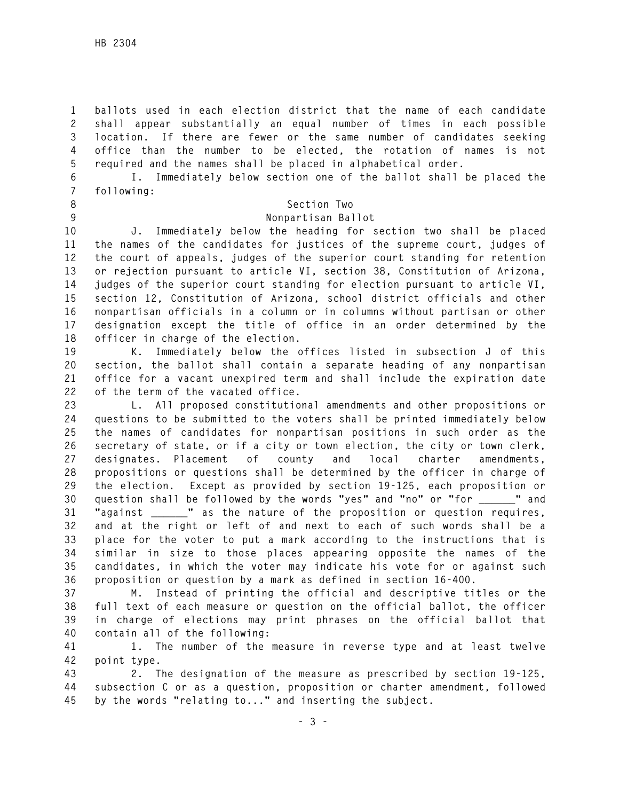**1 ballots used in each election district that the name of each candidate 2 shall appear substantially an equal number of times in each possible 3 location. If there are fewer or the same number of candidates seeking 4 office than the number to be elected, the rotation of names is not 5 required and the names shall be placed in alphabetical order.** 

**6 I. Immediately below section one of the ballot shall be placed the 7 following:** 

- 
- 

## **8 Section Two**

**9 Nonpartisan Ballot** 

**10 J. Immediately below the heading for section two shall be placed 11 the names of the candidates for justices of the supreme court, judges of 12 the court of appeals, judges of the superior court standing for retention 13 or rejection pursuant to article VI, section 38, Constitution of Arizona, 14 judges of the superior court standing for election pursuant to article VI, 15 section 12, Constitution of Arizona, school district officials and other 16 nonpartisan officials in a column or in columns without partisan or other 17 designation except the title of office in an order determined by the 18 officer in charge of the election.** 

**19 K. Immediately below the offices listed in subsection J of this 20 section, the ballot shall contain a separate heading of any nonpartisan 21 office for a vacant unexpired term and shall include the expiration date 22 of the term of the vacated office.** 

**23 L. All proposed constitutional amendments and other propositions or 24 questions to be submitted to the voters shall be printed immediately below 25 the names of candidates for nonpartisan positions in such order as the 26 secretary of state, or if a city or town election, the city or town clerk, 27 designates. Placement of county and local charter amendments, 28 propositions or questions shall be determined by the officer in charge of 29 the election. Except as provided by section 19-125, each proposition or 30 question shall be followed by the words "yes" and "no" or "for \_\_\_\_\_\_" and 31 "against \_\_\_\_\_\_" as the nature of the proposition or question requires, 32 and at the right or left of and next to each of such words shall be a 33 place for the voter to put a mark according to the instructions that is 34 similar in size to those places appearing opposite the names of the 35 candidates, in which the voter may indicate his vote for or against such 36 proposition or question by a mark as defined in section 16-400.** 

**37 M. Instead of printing the official and descriptive titles or the 38 full text of each measure or question on the official ballot, the officer 39 in charge of elections may print phrases on the official ballot that 40 contain all of the following:** 

**41 1. The number of the measure in reverse type and at least twelve 42 point type.** 

**43 2. The designation of the measure as prescribed by section 19-125, 44 subsection C or as a question, proposition or charter amendment, followed 45 by the words "relating to..." and inserting the subject.**